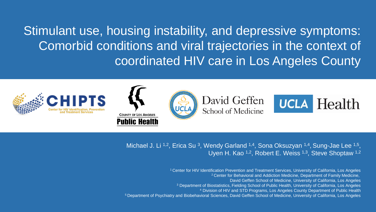Stimulant use, housing instability, and depressive symptoms: Comorbid conditions and viral trajectories in the context of coordinated HIV care in Los Angeles County



Michael J. Li <sup>1,2</sup>, Erica Su <sup>3</sup>, Wendy Garland <sup>1,4</sup>, Sona Oksuzyan <sup>1,4</sup>, Sung-Jae Lee <sup>1,5</sup>, Uyen H. Kao <sup>1,2</sup>, Robert E. Weiss <sup>1,3</sup>, Steve Shoptaw <sup>1,2</sup>

Center for HIV Identification Prevention and Treatment Services, University of California, Los Angeles <sup>2</sup> Center for Behavioral and Addiction Medicine, Department of Family Medicine, David Geffen School of Medicine, University of California, Los Angeles Department of Biostatistics, Fielding School of Public Health, University of California, Los Angeles Division of HIV and STD Programs, Los Angeles County Department of Public Health Department of Psychiatry and Biobehavioral Sciences, David Geffen School of Medicine, University of California, Los Angeles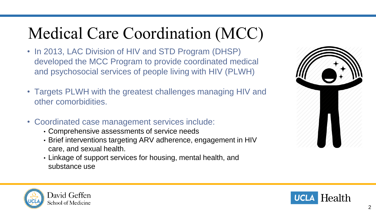# Medical Care Coordination (MCC)

- In 2013, LAC Division of HIV and STD Program (DHSP) developed the MCC Program to provide coordinated medical and psychosocial services of people living with HIV (PLWH)
- Targets PLWH with the greatest challenges managing HIV and other comorbidities.
- Coordinated case management services include:
	- Comprehensive assessments of service needs
	- Brief interventions targeting ARV adherence, engagement in HIV care, and sexual health.
	- Linkage of support services for housing, mental health, and substance use





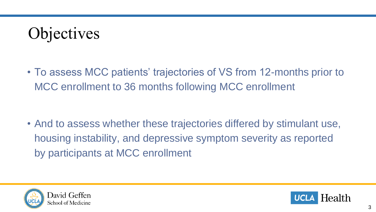# **Objectives**

• To assess MCC patients' trajectories of VS from 12-months prior to MCC enrollment to 36 months following MCC enrollment

• And to assess whether these trajectories differed by stimulant use, housing instability, and depressive symptom severity as reported by participants at MCC enrollment



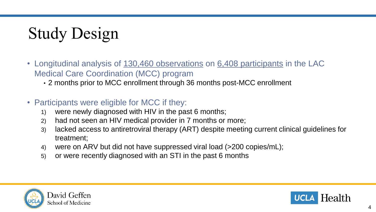# Study Design

- Longitudinal analysis of 130,460 observations on 6,408 participants in the LAC Medical Care Coordination (MCC) program
	- 2 months prior to MCC enrollment through 36 months post-MCC enrollment
- Participants were eligible for MCC if they:
	- 1) were newly diagnosed with HIV in the past 6 months;
	- 2) had not seen an HIV medical provider in 7 months or more;
	- 3) lacked access to antiretroviral therapy (ART) despite meeting current clinical guidelines for treatment;
	- 4) were on ARV but did not have suppressed viral load (>200 copies/mL);
	- 5) or were recently diagnosed with an STI in the past 6 months



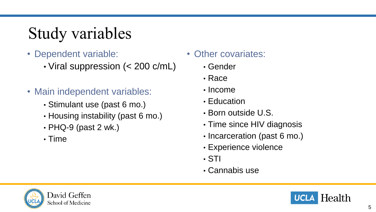# Study variables

- Dependent variable:
	- Viral suppression (< 200 c/mL)
- Main independent variables:
	- Stimulant use (past 6 mo.)
	- Housing instability (past 6 mo.)
	- $\cdot$  PHQ-9 (past 2 wk.)
	- Time
- Other covariates:
	- Gender
	- Race
	- Income
	- Education
	- Born outside U.S.
	- Time since HIV diagnosis
	- Incarceration (past 6 mo.)
	- Experience violence
	- STI
	- Cannabis use



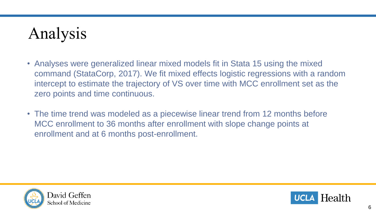# Analysis

- Analyses were generalized linear mixed models fit in Stata 15 using the mixed command (StataCorp, 2017). We fit mixed effects logistic regressions with a random intercept to estimate the trajectory of VS over time with MCC enrollment set as the zero points and time continuous.
- The time trend was modeled as a piecewise linear trend from 12 months before MCC enrollment to 36 months after enrollment with slope change points at enrollment and at 6 months post-enrollment.



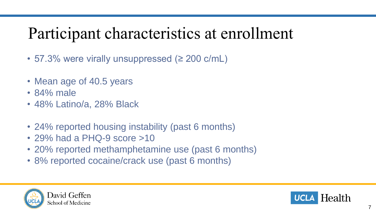## Participant characteristics at enrollment

- 57.3% were virally unsuppressed (≥ 200 c/mL)
- Mean age of 40.5 years
- 84% male
- 48% Latino/a, 28% Black
- 24% reported housing instability (past 6 months)
- 29% had a PHQ-9 score >10
- 20% reported methamphetamine use (past 6 months)
- 8% reported cocaine/crack use (past 6 months)



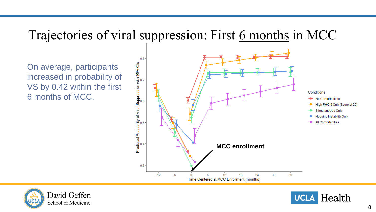### Trajectories of viral suppression: First 6 months in MCC

On average, participants increased in probability of VS by 0.42 within the first 6 months of MCC.





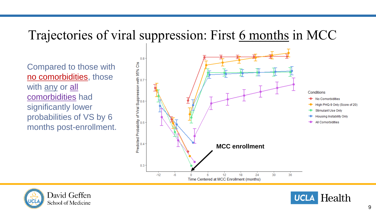### Trajectories of viral suppression: First 6 months in MCC

Compared to those with no comorbidities, those with any or all comorbidities had significantly lower probabilities of VS by 6 months post-enrollment.





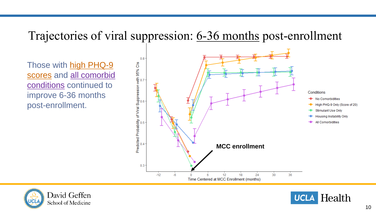#### Trajectories of viral suppression: 6-36 months post-enrollment

Those with high PHQ-9 scores and all comorbid conditions continued to improve 6-36 months post-enrollment.





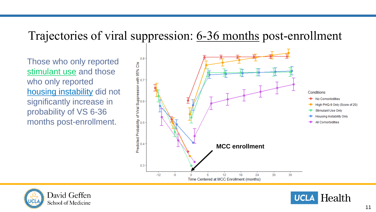#### Trajectories of viral suppression: 6-36 months post-enrollment

Those who only reported stimulant use and those who only reported housing instability did not significantly increase in probability of VS 6-36 months post-enrollment.





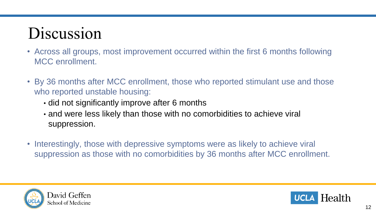# Discussion

- Across all groups, most improvement occurred within the first 6 months following MCC enrollment.
- By 36 months after MCC enrollment, those who reported stimulant use and those who reported unstable housing:
	- did not significantly improve after 6 months
	- and were less likely than those with no comorbidities to achieve viral suppression.
- Interestingly, those with depressive symptoms were as likely to achieve viral suppression as those with no comorbidities by 36 months after MCC enrollment.



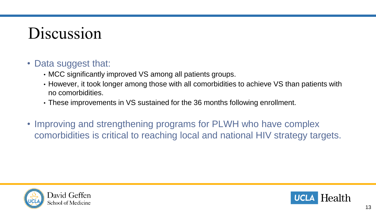### Discussion

#### • Data suggest that:

- MCC significantly improved VS among all patients groups.
- However, it took longer among those with all comorbidities to achieve VS than patients with no comorbidities.
- These improvements in VS sustained for the 36 months following enrollment.
- Improving and strengthening programs for PLWH who have complex comorbidities is critical to reaching local and national HIV strategy targets.



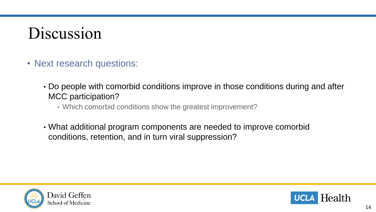### Discussion

- Next research questions:
	- Do people with comorbid conditions improve in those conditions during and after MCC participation?
		- Which comorbid conditions show the greatest improvement?
	- What additional program components are needed to improve comorbid conditions, retention, and in turn viral suppression?